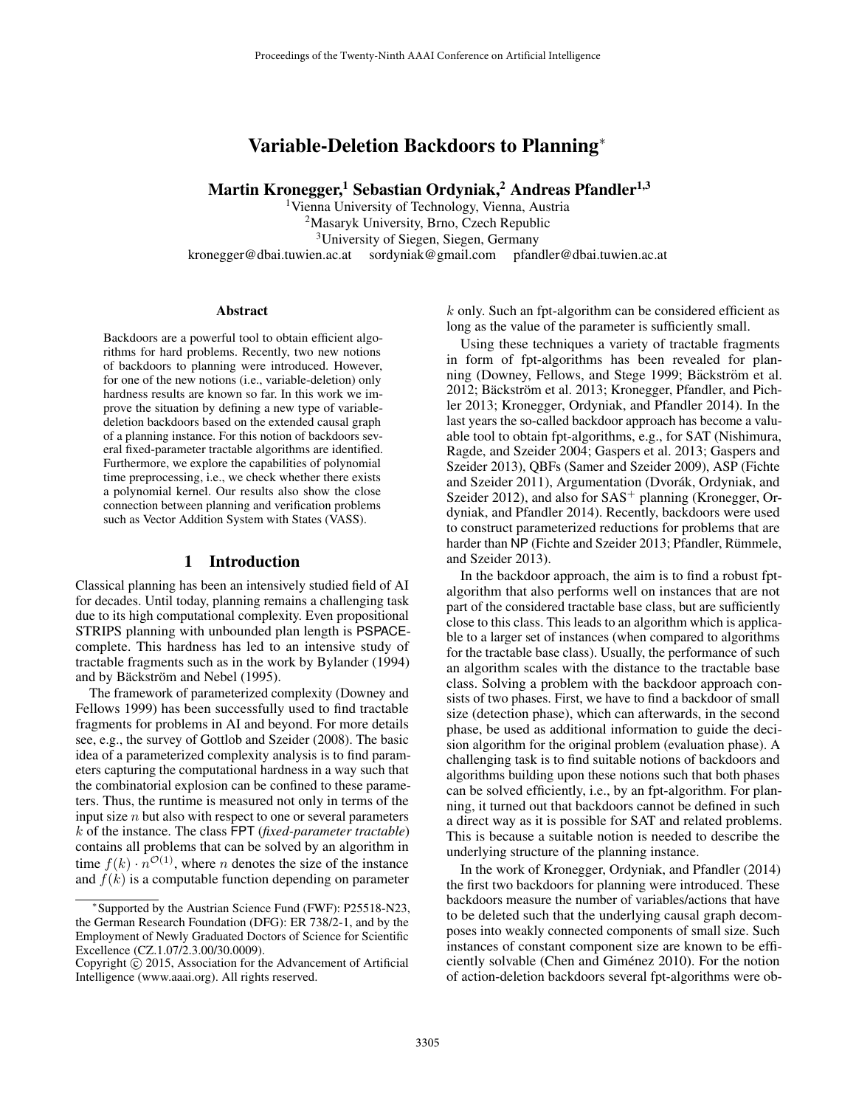# Variable-Deletion Backdoors to Planning<sup>∗</sup>

Martin Kronegger,<sup>1</sup> Sebastian Ordyniak,<sup>2</sup> Andreas Pfandler<sup>1,3</sup>

<sup>1</sup>Vienna University of Technology, Vienna, Austria <sup>2</sup>Masaryk University, Brno, Czech Republic <sup>3</sup>University of Siegen, Siegen, Germany kronegger@dbai.tuwien.ac.at sordyniak@gmail.com pfandler@dbai.tuwien.ac.at

#### Abstract

Backdoors are a powerful tool to obtain efficient algorithms for hard problems. Recently, two new notions of backdoors to planning were introduced. However, for one of the new notions (i.e., variable-deletion) only hardness results are known so far. In this work we improve the situation by defining a new type of variabledeletion backdoors based on the extended causal graph of a planning instance. For this notion of backdoors several fixed-parameter tractable algorithms are identified. Furthermore, we explore the capabilities of polynomial time preprocessing, i.e., we check whether there exists a polynomial kernel. Our results also show the close connection between planning and verification problems such as Vector Addition System with States (VASS).

#### 1 Introduction

Classical planning has been an intensively studied field of AI for decades. Until today, planning remains a challenging task due to its high computational complexity. Even propositional STRIPS planning with unbounded plan length is PSPACEcomplete. This hardness has led to an intensive study of tractable fragments such as in the work by Bylander (1994) and by Bäckström and Nebel (1995).

The framework of parameterized complexity (Downey and Fellows 1999) has been successfully used to find tractable fragments for problems in AI and beyond. For more details see, e.g., the survey of Gottlob and Szeider (2008). The basic idea of a parameterized complexity analysis is to find parameters capturing the computational hardness in a way such that the combinatorial explosion can be confined to these parameters. Thus, the runtime is measured not only in terms of the input size  $n$  but also with respect to one or several parameters k of the instance. The class FPT (*fixed-parameter tractable*) contains all problems that can be solved by an algorithm in time  $f(k) \cdot n^{\mathcal{O}(1)}$ , where *n* denotes the size of the instance and  $f(k)$  is a computable function depending on parameter

 $k$  only. Such an fpt-algorithm can be considered efficient as long as the value of the parameter is sufficiently small.

Using these techniques a variety of tractable fragments in form of fpt-algorithms has been revealed for planning (Downey, Fellows, and Stege 1999; Bäckström et al. 2012; Bäckström et al. 2013; Kronegger, Pfandler, and Pichler 2013; Kronegger, Ordyniak, and Pfandler 2014). In the last years the so-called backdoor approach has become a valuable tool to obtain fpt-algorithms, e.g., for SAT (Nishimura, Ragde, and Szeider 2004; Gaspers et al. 2013; Gaspers and Szeider 2013), QBFs (Samer and Szeider 2009), ASP (Fichte and Szeider 2011), Argumentation (Dvorák, Ordyniak, and Szeider 2012), and also for  $SAS^+$  planning (Kronegger, Ordyniak, and Pfandler 2014). Recently, backdoors were used to construct parameterized reductions for problems that are harder than NP (Fichte and Szeider 2013; Pfandler, Rümmele, and Szeider 2013).

In the backdoor approach, the aim is to find a robust fptalgorithm that also performs well on instances that are not part of the considered tractable base class, but are sufficiently close to this class. This leads to an algorithm which is applicable to a larger set of instances (when compared to algorithms for the tractable base class). Usually, the performance of such an algorithm scales with the distance to the tractable base class. Solving a problem with the backdoor approach consists of two phases. First, we have to find a backdoor of small size (detection phase), which can afterwards, in the second phase, be used as additional information to guide the decision algorithm for the original problem (evaluation phase). A challenging task is to find suitable notions of backdoors and algorithms building upon these notions such that both phases can be solved efficiently, i.e., by an fpt-algorithm. For planning, it turned out that backdoors cannot be defined in such a direct way as it is possible for SAT and related problems. This is because a suitable notion is needed to describe the underlying structure of the planning instance.

In the work of Kronegger, Ordyniak, and Pfandler (2014) the first two backdoors for planning were introduced. These backdoors measure the number of variables/actions that have to be deleted such that the underlying causal graph decomposes into weakly connected components of small size. Such instances of constant component size are known to be efficiently solvable (Chen and Giménez 2010). For the notion of action-deletion backdoors several fpt-algorithms were ob-

<sup>∗</sup> Supported by the Austrian Science Fund (FWF): P25518-N23, the German Research Foundation (DFG): ER 738/2-1, and by the Employment of Newly Graduated Doctors of Science for Scientific Excellence (CZ.1.07/2.3.00/30.0009).

Copyright © 2015, Association for the Advancement of Artificial Intelligence (www.aaai.org). All rights reserved.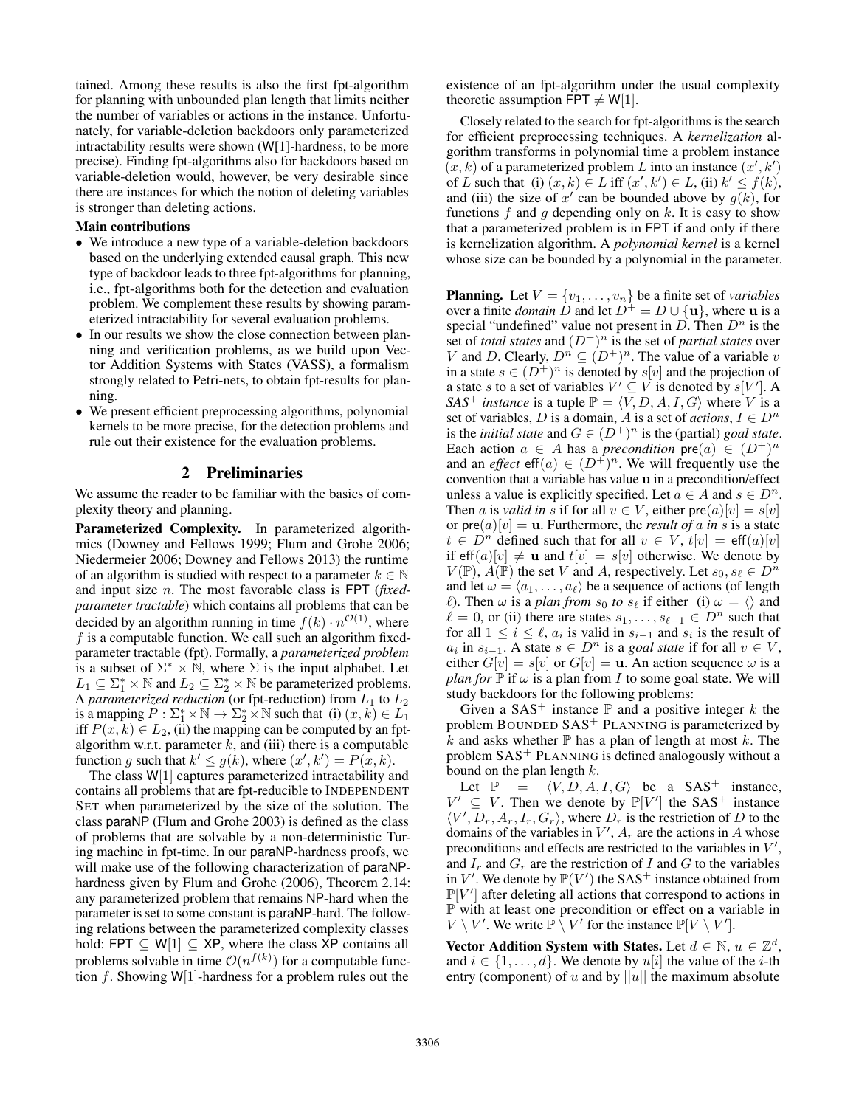tained. Among these results is also the first fpt-algorithm for planning with unbounded plan length that limits neither the number of variables or actions in the instance. Unfortunately, for variable-deletion backdoors only parameterized intractability results were shown (W[1]-hardness, to be more precise). Finding fpt-algorithms also for backdoors based on variable-deletion would, however, be very desirable since there are instances for which the notion of deleting variables is stronger than deleting actions.

#### Main contributions

- We introduce a new type of a variable-deletion backdoors based on the underlying extended causal graph. This new type of backdoor leads to three fpt-algorithms for planning, i.e., fpt-algorithms both for the detection and evaluation problem. We complement these results by showing parameterized intractability for several evaluation problems.
- In our results we show the close connection between planning and verification problems, as we build upon Vector Addition Systems with States (VASS), a formalism strongly related to Petri-nets, to obtain fpt-results for planning.
- We present efficient preprocessing algorithms, polynomial kernels to be more precise, for the detection problems and rule out their existence for the evaluation problems.

#### 2 Preliminaries

We assume the reader to be familiar with the basics of complexity theory and planning.

Parameterized Complexity. In parameterized algorithmics (Downey and Fellows 1999; Flum and Grohe 2006; Niedermeier 2006; Downey and Fellows 2013) the runtime of an algorithm is studied with respect to a parameter  $k \in \mathbb{N}$ and input size n. The most favorable class is FPT (*fixedparameter tractable*) which contains all problems that can be decided by an algorithm running in time  $f(k) \cdot n^{\mathcal{O}(1)}$ , where  $f$  is a computable function. We call such an algorithm fixedparameter tractable (fpt). Formally, a *parameterized problem* is a subset of  $\Sigma^* \times \overline{\mathbb{N}}$ , where  $\Sigma$  is the input alphabet. Let  $L_1 \subseteq \Sigma_1^* \times \mathbb{N}$  and  $L_2 \subseteq \Sigma_2^* \times \mathbb{N}$  be parameterized problems. A *parameterized reduction* (or fpt-reduction) from  $L_1$  to  $L_2$ is a mapping  $P : \Sigma_1^* \times \mathbb{N} \to \Sigma_2^* \times \mathbb{N}$  such that (i)  $(x, k) \in L_1$ iff  $P(x, k) \in L_2$ , (ii) the mapping can be computed by an fptalgorithm w.r.t. parameter  $k$ , and (iii) there is a computable function g such that  $k' \leq g(k)$ , where  $(x', k') = P(x, k)$ .

The class W[1] captures parameterized intractability and contains all problems that are fpt-reducible to INDEPENDENT SET when parameterized by the size of the solution. The class paraNP (Flum and Grohe 2003) is defined as the class of problems that are solvable by a non-deterministic Turing machine in fpt-time. In our paraNP-hardness proofs, we will make use of the following characterization of paraNPhardness given by Flum and Grohe (2006), Theorem 2.14: any parameterized problem that remains NP-hard when the parameter is set to some constant is paraNP-hard. The following relations between the parameterized complexity classes hold: FPT  $\subseteq W[1] \subseteq XP$ , where the class XP contains all problems solvable in time  $\mathcal{O}(n^{f(k)})$  for a computable function f. Showing  $W[1]$ -hardness for a problem rules out the

existence of an fpt-algorithm under the usual complexity theoretic assumption FPT  $\neq W[1]$ .

Closely related to the search for fpt-algorithms is the search for efficient preprocessing techniques. A *kernelization* algorithm transforms in polynomial time a problem instance  $(x, k)$  of a parameterized problem L into an instance  $(x', k')$ of L such that (i)  $(x, k) \in L$  iff  $(x', k') \in L$ , (ii)  $k' \le f(k)$ , and (iii) the size of  $x'$  can be bounded above by  $g(k)$ , for functions  $f$  and  $g$  depending only on  $k$ . It is easy to show that a parameterized problem is in FPT if and only if there is kernelization algorithm. A *polynomial kernel* is a kernel whose size can be bounded by a polynomial in the parameter.

**Planning.** Let  $V = \{v_1, \ldots, v_n\}$  be a finite set of *variables* over a finite *domain* D and let  $D^+ = D \cup \{u\}$ , where **u** is a special "undefined" value not present in  $D$ . Then  $D<sup>n</sup>$  is the set of *total states* and  $(D^+)^n$  is the set of *partial states* over V and D. Clearly,  $D^n \subseteq (D^+)^n$ . The value of a variable v in a state  $s \in (D^+)^n$  is denoted by  $s[v]$  and the projection of a state s to a set of variables  $V' \subseteq V$  is denoted by  $s[V']$ . A *SAS<sup>+</sup> instance* is a tuple  $\mathbb{P} = \langle V, D, A, I, G \rangle$  where V is a set of variables, D is a domain, A is a set of *actions*,  $I \in D^n$ is the *initial state* and  $G \in (D^+)^n$  is the (partial) *goal state*. Each action  $a \in A$  has a *precondition*  $\text{pre}(a) \in (D^+)^n$ and an *effect*  $\operatorname{eff}(a) \in (D^+)^n$ . We will frequently use the convention that a variable has value u in a precondition/effect unless a value is explicitly specified. Let  $a \in A$  and  $s \in D^n$ . Then *a* is *valid in s* if for all  $v \in V$ , either  $pre(a)[v] = s[v]$ or  $pre(a)[v] = u$ . Furthermore, the *result of a in s* is a state  $t \in D^n$  defined such that for all  $v \in V$ ,  $t[v] = \text{eff}(a)[v]$ if eff(a)[v]  $\neq$  **u** and  $t[v] = s[v]$  otherwise. We denote by  $V(\mathbb{P})$ ,  $A(\mathbb{P})$  the set V and A, respectively. Let  $s_0, s_\ell \in D^n$ and let  $\omega = \langle a_1, \ldots, a_\ell \rangle$  be a sequence of actions (of length  $\ell$ ). Then  $\omega$  is a *plan from*  $s_0$  *to*  $s_\ell$  if either (i)  $\omega = \langle \rangle$  and  $\ell = 0$ , or (ii) there are states  $s_1, \ldots, s_{\ell-1} \in D^n$  such that for all  $1 \leq i \leq \ell$ ,  $a_i$  is valid in  $s_{i-1}$  and  $s_i$  is the result of  $a_i$  in  $s_{i-1}$ . A state  $s \in D^n$  is a *goal state* if for all  $v \in V$ , either  $G[v] = s[v]$  or  $G[v] = u$ . An action sequence  $\omega$  is a *plan for*  $\mathbb P$  if  $\omega$  is a plan from *I* to some goal state. We will study backdoors for the following problems:

Given a SAS<sup>+</sup> instance  $\mathbb P$  and a positive integer k the problem BOUNDED  $SAS^+$  PLANNING is parameterized by k and asks whether  $\mathbb P$  has a plan of length at most k. The problem  $SAS<sup>+</sup>$  PLANNING is defined analogously without a bound on the plan length  $k$ .

Let  $\mathbb{P} = \langle V, D, A, I, G \rangle$  be a SAS<sup>+</sup> instance,  $V' \subseteq V$ . Then we denote by  $\mathbb{P}[V']$  the SAS<sup>+</sup> instance  $\langle V', D_r, A_r, I_r, G_r \rangle$ , where  $D_r$  is the restriction of D to the domains of the variables in  $V'$ ,  $A_r$  are the actions in A whose preconditions and effects are restricted to the variables in  $V'$ , and  $I_r$  and  $G_r$  are the restriction of I and G to the variables in V'. We denote by  $\mathbb{P}(V')$  the SAS<sup>+</sup> instance obtained from  $\mathbb{P}[V']$  after deleting all actions that correspond to actions in P with at least one precondition or effect on a variable in  $V \setminus V'$ . We write  $\mathbb{P} \setminus V'$  for the instance  $\mathbb{P}[V \setminus V']$ .

Vector Addition System with States. Let  $d \in \mathbb{N}$ ,  $u \in \mathbb{Z}^d$ , and  $i \in \{1, \ldots, d\}$ . We denote by  $u[i]$  the value of the *i*-th entry (component) of u and by  $||u||$  the maximum absolute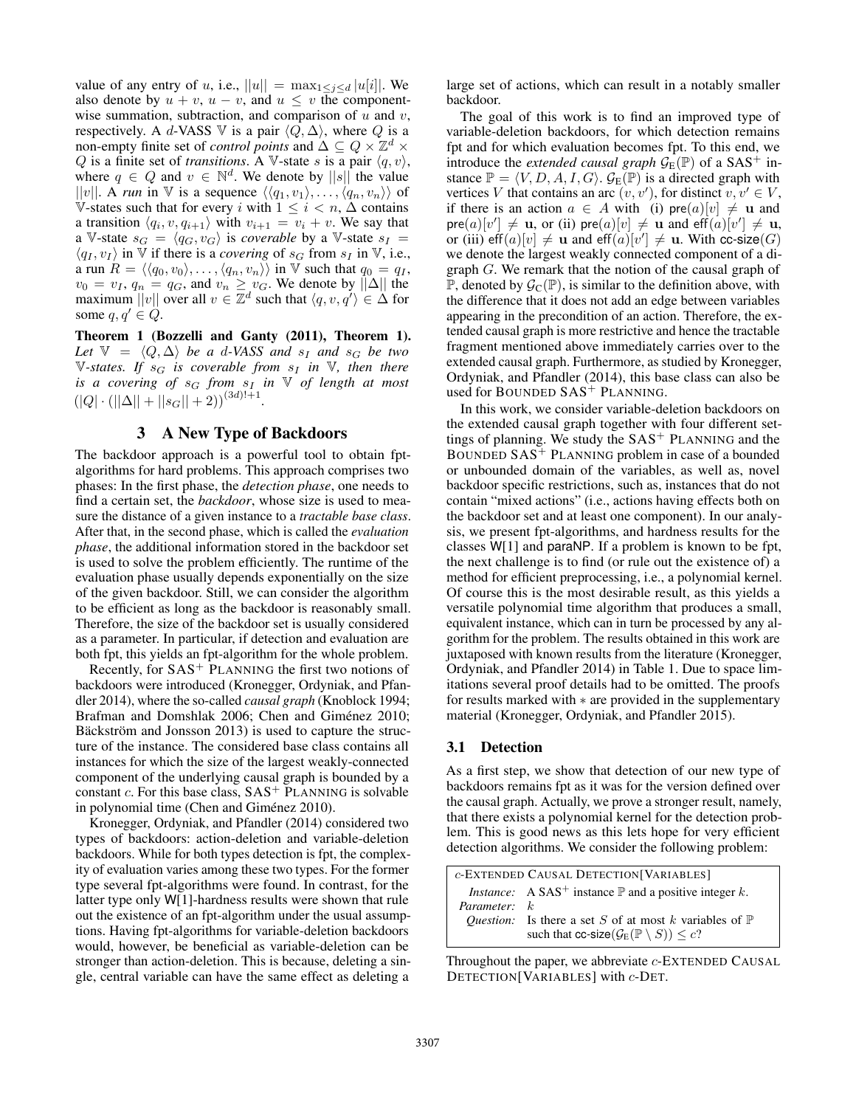value of any entry of u, i.e.,  $||u|| = \max_{1 \leq i \leq d} |u[i]|$ . We also denote by  $u + v$ ,  $u - v$ , and  $u \leq v$  the componentwise summation, subtraction, and comparison of  $u$  and  $v$ , respectively. A d-VASS V is a pair  $\langle \overline{Q}, \Delta \rangle$ , where Q is a non-empty finite set of *control points* and  $\Delta \subseteq Q \times \mathbb{Z}^d \times$ Q is a finite set of *transitions*. A V-state s is a pair  $\langle q, v \rangle$ , where  $q \in Q$  and  $v \in \mathbb{N}^d$ . We denote by  $||s||$  the value  $||v||$ . A *run* in V is a sequence  $\langle \langle q_1, v_1 \rangle, \ldots, \langle q_n, v_n \rangle \rangle$  of  $\overline{V}$ -states such that for every *i* with 1 ≤ *i* < *n*,  $\overline{\Delta}$  contains a transition  $\langle q_i, v, q_{i+1} \rangle$  with  $v_{i+1} = v_i + v$ . We say that a V-state  $s_G = \langle q_G, v_G \rangle$  is *coverable* by a V-state  $s_I$  =  $\langle q_I, v_I \rangle$  in V if there is a *covering* of  $s_G$  from  $s_I$  in V, i.e., a run  $R = \langle \langle q_0, v_0 \rangle, \ldots, \langle q_n, v_n \rangle \rangle$  in  $V$  such that  $q_0 = q_I$ ,  $v_0 = v_I, q_n = q_G$ , and  $v_n \ge v_G$ . We denote by  $||\Delta||$  the maximum  $||v||$  over all  $v \in \mathbb{Z}^d$  such that  $\langle q, v, q' \rangle \in \Delta$  for some  $q, q' \in Q$ .

Theorem 1 (Bozzelli and Ganty (2011), Theorem 1). *Let*  $\mathbb{V} = \langle Q, \Delta \rangle$  *be a d-VASS and s<sub>I</sub> and s<sub>G</sub> <i>be two*  $\nabla$ -states. If  $s_G$  is coverable from  $s_I$  in  $\nabla$ , then there *is a covering of*  $s_G$  *from*  $s_I$  *in*  $\mathbb{V}$  *of length at most*  $(|Q| \cdot (||\Delta|| + ||s_G|| + 2))^{(3d)!+1}.$ 

# 3 A New Type of Backdoors

The backdoor approach is a powerful tool to obtain fptalgorithms for hard problems. This approach comprises two phases: In the first phase, the *detection phase*, one needs to find a certain set, the *backdoor*, whose size is used to measure the distance of a given instance to a *tractable base class*. After that, in the second phase, which is called the *evaluation phase*, the additional information stored in the backdoor set is used to solve the problem efficiently. The runtime of the evaluation phase usually depends exponentially on the size of the given backdoor. Still, we can consider the algorithm to be efficient as long as the backdoor is reasonably small. Therefore, the size of the backdoor set is usually considered as a parameter. In particular, if detection and evaluation are both fpt, this yields an fpt-algorithm for the whole problem.

Recently, for  $SAS<sup>+</sup>$  PLANNING the first two notions of backdoors were introduced (Kronegger, Ordyniak, and Pfandler 2014), where the so-called *causal graph* (Knoblock 1994; Brafman and Domshlak 2006; Chen and Giménez 2010; Bäckström and Jonsson 2013) is used to capture the structure of the instance. The considered base class contains all instances for which the size of the largest weakly-connected component of the underlying causal graph is bounded by a constant c. For this base class,  $SAS<sup>+</sup> PLANNING$  is solvable in polynomial time (Chen and Giménez 2010).

Kronegger, Ordyniak, and Pfandler (2014) considered two types of backdoors: action-deletion and variable-deletion backdoors. While for both types detection is fpt, the complexity of evaluation varies among these two types. For the former type several fpt-algorithms were found. In contrast, for the latter type only W[1]-hardness results were shown that rule out the existence of an fpt-algorithm under the usual assumptions. Having fpt-algorithms for variable-deletion backdoors would, however, be beneficial as variable-deletion can be stronger than action-deletion. This is because, deleting a single, central variable can have the same effect as deleting a

large set of actions, which can result in a notably smaller backdoor.

The goal of this work is to find an improved type of variable-deletion backdoors, for which detection remains fpt and for which evaluation becomes fpt. To this end, we introduce the *extended causal graph*  $\mathcal{G}_E(\mathbb{P})$  of a SAS<sup>+</sup> instance  $\mathbb{P} = \langle V, D, A, I, G \rangle$ .  $\mathcal{G}_E(\mathbb{P})$  is a directed graph with vertices V that contains an arc  $(v, v')$ , for distinct  $v, v' \in V$ , if there is an action  $a \in A$  with (i)  $\text{pre}(a)[v] \neq u$  and  $pre(a)[v'] \neq u$ , or (ii)  $pre(a)[v] \neq u$  and  $\overline{eff(a)}[v'] \neq u$ , or (iii)  $\text{eff}(a)[v] \neq \mathbf{u}$  and  $\text{eff}(a)[v'] \neq \mathbf{u}$ . With cc-size(*G*) we denote the largest weakly connected component of a digraph G. We remark that the notion of the causal graph of  $\mathbb{P}$ , denoted by  $\mathcal{G}_{\mathcal{C}}(\mathbb{P})$ , is similar to the definition above, with the difference that it does not add an edge between variables appearing in the precondition of an action. Therefore, the extended causal graph is more restrictive and hence the tractable fragment mentioned above immediately carries over to the extended causal graph. Furthermore, as studied by Kronegger, Ordyniak, and Pfandler (2014), this base class can also be used for BOUNDED SAS<sup>+</sup> PLANNING.

In this work, we consider variable-deletion backdoors on the extended causal graph together with four different settings of planning. We study the  $SAS<sup>+</sup>$  PLANNING and the BOUNDED SAS<sup>+</sup> PLANNING problem in case of a bounded or unbounded domain of the variables, as well as, novel backdoor specific restrictions, such as, instances that do not contain "mixed actions" (i.e., actions having effects both on the backdoor set and at least one component). In our analysis, we present fpt-algorithms, and hardness results for the classes W[1] and paraNP. If a problem is known to be fpt, the next challenge is to find (or rule out the existence of) a method for efficient preprocessing, i.e., a polynomial kernel. Of course this is the most desirable result, as this yields a versatile polynomial time algorithm that produces a small, equivalent instance, which can in turn be processed by any algorithm for the problem. The results obtained in this work are juxtaposed with known results from the literature (Kronegger, Ordyniak, and Pfandler 2014) in Table 1. Due to space limitations several proof details had to be omitted. The proofs for results marked with ∗ are provided in the supplementary material (Kronegger, Ordyniak, and Pfandler 2015).

#### 3.1 Detection

As a first step, we show that detection of our new type of backdoors remains fpt as it was for the version defined over the causal graph. Actually, we prove a stronger result, namely, that there exists a polynomial kernel for the detection problem. This is good news as this lets hope for very efficient detection algorithms. We consider the following problem:

| C-EXTENDED CAUSAL DETECTION [VARIABLES] |                                                                                    |  |
|-----------------------------------------|------------------------------------------------------------------------------------|--|
|                                         | <i>Instance:</i> A SAS <sup>+</sup> instance $\mathbb P$ and a positive integer k. |  |
| Parameter: k                            |                                                                                    |  |
|                                         | <i>Question:</i> Is there a set S of at most k variables of $\mathbb P$            |  |
|                                         | such that cc-size( $\mathcal{G}_E(\mathbb{P}\setminus S)$ ) $\leq c$ ?             |  |

Throughout the paper, we abbreviate  $c$ -EXTENDED CAUSAL DETECTION[VARIABLES] with c-DET.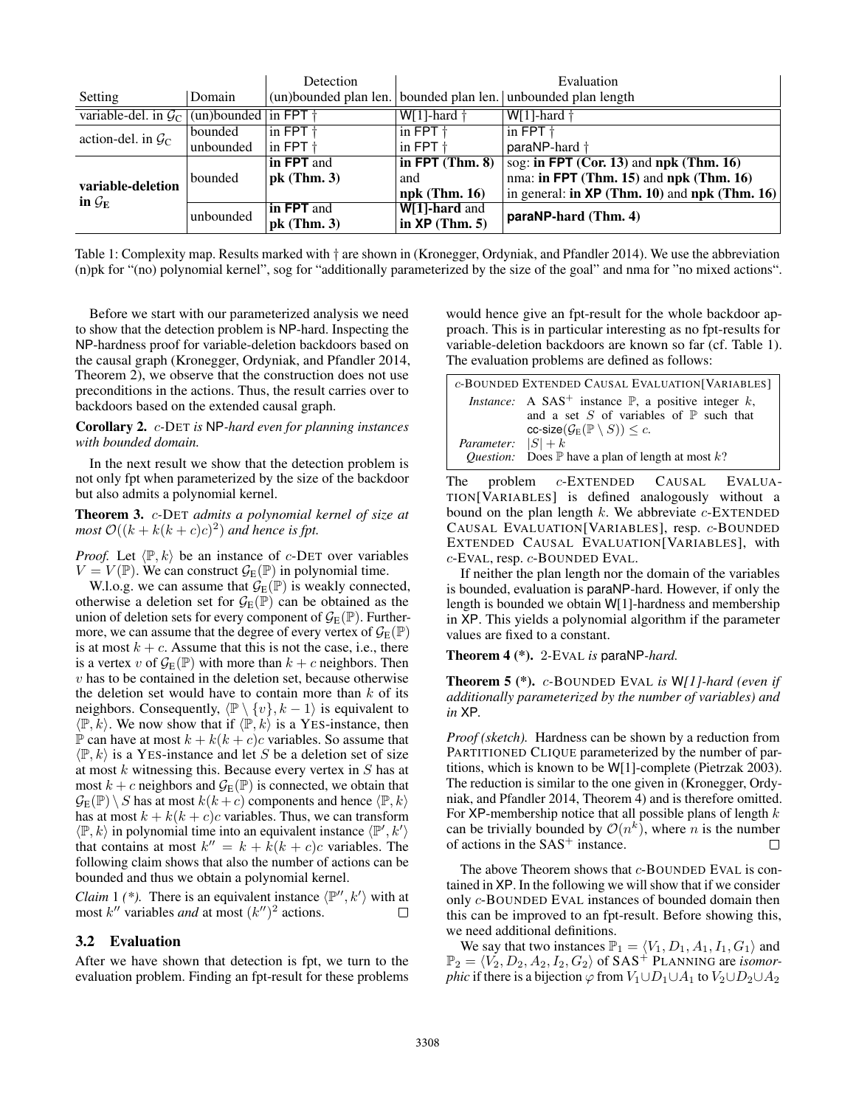|                                                                 |           | Detection        | Evaluation             |                                                               |
|-----------------------------------------------------------------|-----------|------------------|------------------------|---------------------------------------------------------------|
| Setting                                                         | Domain    |                  |                        | (un)bounded plan len. bounded plan len. unbounded plan length |
| variable-del. in $\mathcal{G}_{C}$ (un)bounded in FPT $\dagger$ |           |                  | $W[1]$ -hard $\dagger$ | $W[1]$ -hard $\dagger$                                        |
| action-del. in $\mathcal{G}_C$                                  | bounded   | in FPT $\dagger$ | in FPT $\dagger$       | $\ln$ FPT $\dagger$                                           |
|                                                                 | unbounded | in FPT $\dagger$ | in FPT $\dagger$       | paraNP-hard †                                                 |
| variable-deletion<br>in $\mathcal{G}_E$                         |           | in FPT and       | in FPT $(Thm. 8)$      | sog: in FPT $(Cor. 13)$ and npk $(Thm. 16)$                   |
|                                                                 | bounded   | $pk$ (Thm. 3)    | and                    | nma: in FPT (Thm. 15) and npk (Thm. 16)                       |
|                                                                 |           |                  | $npk$ (Thm. 16)        | in general: in XP (Thm. 10) and npk (Thm. 16)                 |
|                                                                 | unbounded | in FPT and       | $W[1]$ -hard and       | $paraNP-hard$ (Thm. 4)                                        |
|                                                                 |           | $pk$ (Thm. 3)    | in $XP$ (Thm. 5)       |                                                               |

Table 1: Complexity map. Results marked with † are shown in (Kronegger, Ordyniak, and Pfandler 2014). We use the abbreviation (n)pk for "(no) polynomial kernel", sog for "additionally parameterized by the size of the goal" and nma for "no mixed actions".

Before we start with our parameterized analysis we need to show that the detection problem is NP-hard. Inspecting the NP-hardness proof for variable-deletion backdoors based on the causal graph (Kronegger, Ordyniak, and Pfandler 2014, Theorem 2), we observe that the construction does not use preconditions in the actions. Thus, the result carries over to backdoors based on the extended causal graph.

Corollary 2. c*-*DET *is* NP*-hard even for planning instances with bounded domain.*

In the next result we show that the detection problem is not only fpt when parameterized by the size of the backdoor but also admits a polynomial kernel.

Theorem 3. c*-*DET *admits a polynomial kernel of size at most*  $\mathcal{O}((k + k(k + c)c)^2)$  *and hence is fpt.* 

*Proof.* Let  $\langle \mathbb{P}, k \rangle$  be an instance of c-DET over variables  $V = V(\mathbb{P})$ . We can construct  $\mathcal{G}_{E}(\mathbb{P})$  in polynomial time.

W.l.o.g. we can assume that  $\mathcal{G}_E(\mathbb{P})$  is weakly connected, otherwise a deletion set for  $\mathcal{G}_E(\mathbb{P})$  can be obtained as the union of deletion sets for every component of  $\mathcal{G}_E(\mathbb{P})$ . Furthermore, we can assume that the degree of every vertex of  $\mathcal{G}_E(\mathbb{P})$ is at most  $k + c$ . Assume that this is not the case, i.e., there is a vertex v of  $\mathcal{G}_E(\mathbb{P})$  with more than  $k + c$  neighbors. Then  $v$  has to be contained in the deletion set, because otherwise the deletion set would have to contain more than  $k$  of its neighbors. Consequently,  $\langle \mathbb{P} \setminus \{v\}, k-1 \rangle$  is equivalent to  $\langle \mathbb{P}, k \rangle$ . We now show that if  $\langle \mathbb{P}, k \rangle$  is a YES-instance, then P can have at most  $k + k(k + c)c$  variables. So assume that  $\langle \mathbb{P}, k \rangle$  is a YES-instance and let S be a deletion set of size at most k witnessing this. Because every vertex in S has at most  $k + c$  neighbors and  $\mathcal{G}_E(\mathbb{P})$  is connected, we obtain that  $\mathcal{G}_E(\mathbb{P}) \setminus S$  has at most  $k(k+c)$  components and hence  $\langle \mathbb{P}, k \rangle$ has at most  $k + k(k + c)c$  variables. Thus, we can transform  $\langle \mathbb{P}, k \rangle$  in polynomial time into an equivalent instance  $\langle \mathbb{P}', k' \rangle$ that contains at most  $k'' = k + \hat{k}(k + c)c$  variables. The following claim shows that also the number of actions can be bounded and thus we obtain a polynomial kernel.

*Claim* 1 (\*). There is an equivalent instance  $\langle \mathbb{P}'', k' \rangle$  with at most  $k''$  variables *and* at most  $(k'')^2$  actions.  $\Box$ 

# 3.2 Evaluation

After we have shown that detection is fpt, we turn to the evaluation problem. Finding an fpt-result for these problems would hence give an fpt-result for the whole backdoor approach. This is in particular interesting as no fpt-results for variable-deletion backdoors are known so far (cf. Table 1). The evaluation problems are defined as follows:

| c-BOUNDED EXTENDED CAUSAL EVALUATION [VARIABLES] |                                                                                   |  |  |
|--------------------------------------------------|-----------------------------------------------------------------------------------|--|--|
|                                                  | <i>Instance:</i> A SAS <sup>+</sup> instance $\mathbb{P}$ , a positive integer k, |  |  |
|                                                  | and a set $S$ of variables of $\mathbb P$ such that                               |  |  |
|                                                  | cc-size( $\mathcal{G}_E(\mathbb{P}\setminus S)$ ) $\leq c$ .                      |  |  |
| <i>Parameter:</i> $ S  + k$                      |                                                                                   |  |  |
|                                                  | <i>Question:</i> Does $\mathbb P$ have a plan of length at most k?                |  |  |

The problem c-EXTENDED CAUSAL EVALUA-TION[VARIABLES] is defined analogously without a bound on the plan length  $k$ . We abbreviate  $c$ -EXTENDED CAUSAL EVALUATION[VARIABLES], resp. c-BOUNDED EXTENDED CAUSAL EVALUATION[VARIABLES], with c-EVAL, resp. c-BOUNDED EVAL.

If neither the plan length nor the domain of the variables is bounded, evaluation is paraNP-hard. However, if only the length is bounded we obtain W[1]-hardness and membership in XP. This yields a polynomial algorithm if the parameter values are fixed to a constant.

Theorem 4 (\*). 2*-*EVAL *is* paraNP*-hard.*

Theorem 5 (\*). c*-*BOUNDED EVAL *is* W*[1]-hard (even if additionally parameterized by the number of variables) and in* XP*.*

*Proof (sketch).* Hardness can be shown by a reduction from PARTITIONED CLIQUE parameterized by the number of partitions, which is known to be W[1]-complete (Pietrzak 2003). The reduction is similar to the one given in (Kronegger, Ordyniak, and Pfandler 2014, Theorem 4) and is therefore omitted. For XP-membership notice that all possible plans of length  $k$ can be trivially bounded by  $\mathcal{O}(n^k)$ , where n is the number of actions in the SAS<sup>+</sup> instance.  $\Box$ 

The above Theorem shows that  $c$ -BOUNDED EVAL is contained in XP. In the following we will show that if we consider only c-BOUNDED EVAL instances of bounded domain then this can be improved to an fpt-result. Before showing this, we need additional definitions.

We say that two instances  $\mathbb{P}_1 = \langle V_1, D_1, A_1, I_1, G_1 \rangle$  and  $\mathbb{P}_2 = \langle V_2, D_2, A_2, I_2, G_2 \rangle$  of SAS<sup>+</sup> PLANNING are *isomorphic* if there is a bijection  $\varphi$  from  $V_1 \cup D_1 \cup A_1$  to  $V_2 \cup D_2 \cup A_2$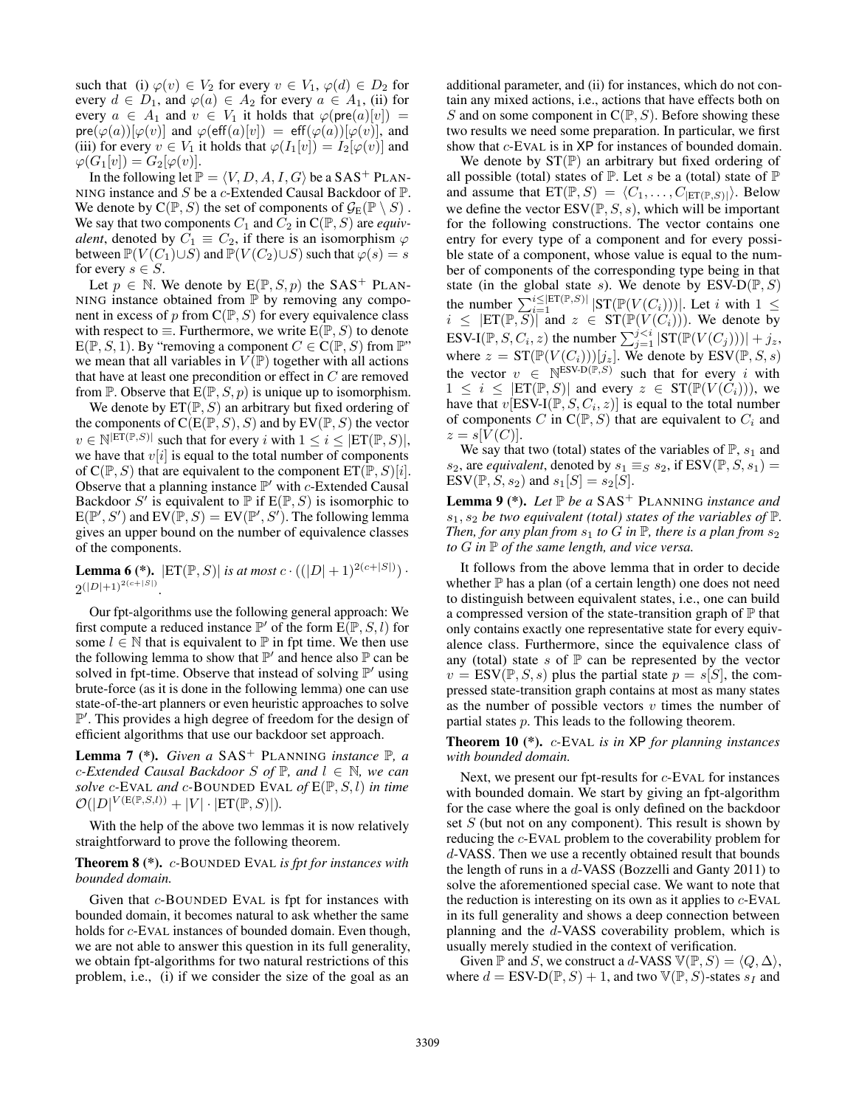such that (i)  $\varphi(v) \in V_2$  for every  $v \in V_1$ ,  $\varphi(d) \in D_2$  for every  $d \in D_1$ , and  $\varphi(a) \in A_2$  for every  $a \in A_1$ , (ii) for every  $a \in A_1$  and  $v \in V_1$  it holds that  $\varphi(\text{pre}(a)[v]) =$  $pre(\varphi(a))[\varphi(v)]$  and  $\varphi(eff(a)[v]) = eff(\varphi(a))[\varphi(v)]$ , and (iii) for every  $v \in V_1$  it holds that  $\varphi(I_1[v]) = I_2[\varphi(v)]$  and  $\varphi(G_1[v]) = G_2[\varphi(v)].$ 

In the following let  $\mathbb{P} = \langle V, D, A, I, G \rangle$  be a SAS<sup>+</sup> PLAN-NING instance and S be a c-Extended Causal Backdoor of P. We denote by  $C(\mathbb{P}, S)$  the set of components of  $\mathcal{G}_E(\mathbb{P} \setminus S)$ . We say that two components  $C_1$  and  $C_2$  in  $C(\mathbb{P}, S)$  are *equivalent*, denoted by  $C_1 \equiv C_2$ , if there is an isomorphism  $\varphi$ between  $\mathbb{P}(V(C_1) \cup S)$  and  $\mathbb{P}(V(C_2) \cup S)$  such that  $\varphi(s) = s$ for every  $s \in S$ .

Let  $p \in \mathbb{N}$ . We denote by  $E(\mathbb{P}, S, p)$  the SAS<sup>+</sup> PLAN-NING instance obtained from  $P$  by removing any component in excess of p from  $C(\mathbb{P}, S)$  for every equivalence class with respect to  $\equiv$ . Furthermore, we write  $E(\mathbb{P}, S)$  to denote  $E(\mathbb{P}, S, 1)$ . By "removing a component  $C \in C(\mathbb{P}, S)$  from  $\mathbb{P}$ " we mean that all variables in  $V(\mathbb{P})$  together with all actions that have at least one precondition or effect in  $C$  are removed from  $\mathbb P$ . Observe that  $E(\mathbb P, S, p)$  is unique up to isomorphism.

We denote by  $ET(\mathbb{P}, S)$  an arbitrary but fixed ordering of the components of  $C(E(\mathbb{P}, S), S)$  and by  $EV(\mathbb{P}, S)$  the vector  $v \in \mathbb{N}^{|\widetilde{\text{ET}}(\mathbb{P},S)|}$  such that for every i with  $1 \leq i \leq |\text{ET}(\mathbb{P},S)|$ , we have that  $v[i]$  is equal to the total number of components of  $C(\mathbb{P}, S)$  that are equivalent to the component  $ET(\mathbb{P}, S)[i]$ . Observe that a planning instance  $\mathbb{P}'$  with c-Extended Causal Backdoor S' is equivalent to  $\mathbb P$  if  $E(\mathbb P, S)$  is isomorphic to  $E(\mathbb{P}', S')$  and  $EV(\mathbb{P}, S) = EV(\mathbb{P}', S')$ . The following lemma gives an upper bound on the number of equivalence classes of the components.

**Lemma 6** (\*).  $|\text{ET}(\mathbb{P}, S)|$  *is at most*  $c \cdot ((|D| + 1)^{2(c+|S|)})$ .  $2^{(|D|+1)^{2(c+|S|)}}$ .

Our fpt-algorithms use the following general approach: We first compute a reduced instance  $\mathbb{P}'$  of the form  $\mathbf{E}(\mathbb{P}, S, l)$  for some  $l \in \mathbb{N}$  that is equivalent to  $\mathbb P$  in fpt time. We then use the following lemma to show that  $\mathbb{P}'$  and hence also  $\mathbb P$  can be solved in fpt-time. Observe that instead of solving  $\mathbb{P}'$  using brute-force (as it is done in the following lemma) one can use state-of-the-art planners or even heuristic approaches to solve  $\mathbb{P}'$ . This provides a high degree of freedom for the design of efficient algorithms that use our backdoor set approach.

Lemma 7 (\*). *Given a* SAS<sup>+</sup> PLANNING *instance* P*, a*  $c$ -*Extended Causal Backdoor*  $S$  *of*  $\mathbb{P}$ *, and*  $l \in \mathbb{N}$ *, we can solve* c-EVAL and c-BOUNDED EVAL of  $E(\mathbb{P}, S, l)$  *in time*  $\mathcal{O}(|D|^{V(\text{E}(\mathbb{P},S,l))} + |V| \cdot |\text{ET}(\mathbb{P},S)|).$ 

With the help of the above two lemmas it is now relatively straightforward to prove the following theorem.

## Theorem 8 (\*). c*-*BOUNDED EVAL *is fpt for instances with bounded domain.*

Given that c-BOUNDED EVAL is fpt for instances with bounded domain, it becomes natural to ask whether the same holds for c-EVAL instances of bounded domain. Even though, we are not able to answer this question in its full generality, we obtain fpt-algorithms for two natural restrictions of this problem, i.e., (i) if we consider the size of the goal as an

additional parameter, and (ii) for instances, which do not contain any mixed actions, i.e., actions that have effects both on S and on some component in  $C(\mathbb{P}, S)$ . Before showing these two results we need some preparation. In particular, we first show that  $c$ -EVAL is in XP for instances of bounded domain.

We denote by  $ST(\mathbb{P})$  an arbitrary but fixed ordering of all possible (total) states of  $\mathbb P$ . Let s be a (total) state of  $\mathbb P$ and assume that  $ET(\mathbb{P}, S) = \langle C_1, \ldots, C_{|ET(\mathbb{P},S)|} \rangle$ . Below we define the vector  $ESV(\mathbb{P}, S, s)$ , which will be important for the following constructions. The vector contains one entry for every type of a component and for every possible state of a component, whose value is equal to the number of components of the corresponding type being in that state (in the global state s). We denote by  $ESV-D(\mathbb{P}, S)$ the number  $\sum_{i=1}^i \mathcal{E}^{|E(T(\mathbb{P},S)|)} |ST(\mathbb{P}(V(C_i)))|$ . Let i with  $1 \leq$  $i \leq |ET(\mathbb{P}, \overline{S})|$  and  $z \in ST(\mathbb{P}(V(C_i)))$ . We denote by ESV-I( $\mathbb{P}, S, C_i, z$ ) the number  $\sum_{j=1}^{j \leq i} |ST(\mathbb{P}(V(C_j)))| + j_z$ , where  $z = ST(\mathbb{P}(V(C_i)))[j_z]$ . We denote by ESV $(\mathbb{P}, S, s)$ the vector  $v \in \mathbb{N}^{\text{ESV-D}(\mathbb{P},S)}$  such that for every i with  $1 \leq i \leq |\mathop{\mathrm{ET}}\nolimits(\mathbb{P},S)|$  and every  $z \in \mathop{\mathrm{ST}}\nolimits(\mathbb{P}(V(C_i)))$ , we have that  $v[ESV-I(\mathbb{P}, S, C_i, z)]$  is equal to the total number of components C in  $C(\mathbb{P}, S)$  that are equivalent to  $C_i$  and  $z = s[V(C)].$ 

We say that two (total) states of the variables of  $\mathbb{P}, s_1$  and  $s_2$ , are *equivalent*, denoted by  $s_1 \equiv_S s_2$ , if ESV( $\mathbb{P}, S, s_1$ ) = ESV( $\mathbb{P}, S, s_2$ ) and  $s_1[S] = s_2[S]$ .

Lemma 9 (\*). *Let* P *be a* SAS<sup>+</sup> PLANNING *instance and*  $s_1, s_2$  *be two equivalent (total) states of the variables of*  $\mathbb{P}$ *. Then, for any plan from*  $s_1$  *to*  $G$  *in*  $\mathbb{P}$ *, there is a plan from*  $s_2$ *to* G *in* P *of the same length, and vice versa.*

It follows from the above lemma that in order to decide whether  $\mathbb P$  has a plan (of a certain length) one does not need to distinguish between equivalent states, i.e., one can build a compressed version of the state-transition graph of  $\mathbb P$  that only contains exactly one representative state for every equivalence class. Furthermore, since the equivalence class of any (total) state s of  $\mathbb P$  can be represented by the vector  $v = ESV(\mathbb{P}, S, s)$  plus the partial state  $p = s[S]$ , the compressed state-transition graph contains at most as many states as the number of possible vectors  $v$  times the number of partial states  $p$ . This leads to the following theorem.

Theorem 10 (\*). c*-*EVAL *is in* XP *for planning instances with bounded domain.*

Next, we present our fpt-results for *c*-EVAL for instances with bounded domain. We start by giving an fpt-algorithm for the case where the goal is only defined on the backdoor set  $S$  (but not on any component). This result is shown by reducing the c-EVAL problem to the coverability problem for d-VASS. Then we use a recently obtained result that bounds the length of runs in a d-VASS (Bozzelli and Ganty 2011) to solve the aforementioned special case. We want to note that the reduction is interesting on its own as it applies to  $c$ -EVAL in its full generality and shows a deep connection between planning and the d-VASS coverability problem, which is usually merely studied in the context of verification.

Given  $\mathbb P$  and S, we construct a d-VASS  $\mathbb V(\mathbb P, S) = \langle Q, \Delta \rangle$ , where  $d = \text{ESV-D}(\mathbb{P}, S) + 1$ , and two  $\mathbb{V}(\mathbb{P}, S)$ -states  $s_I$  and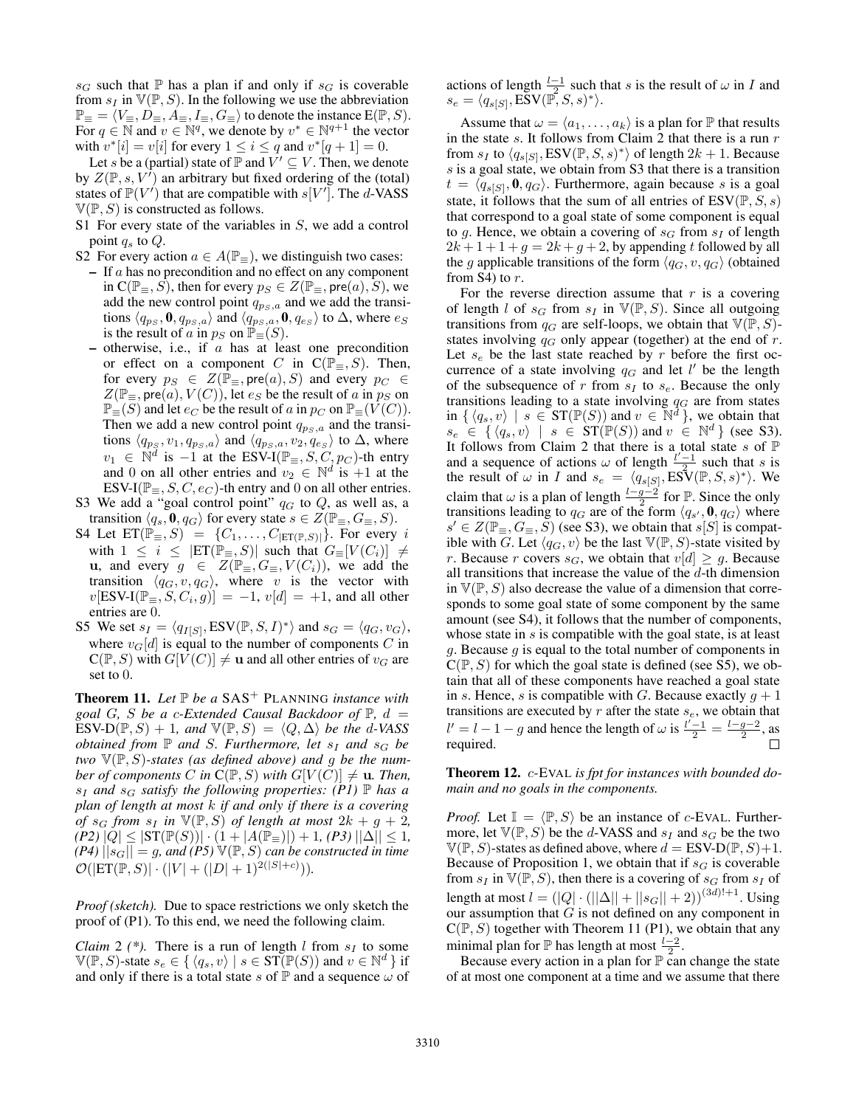$s_G$  such that  $\mathbb P$  has a plan if and only if  $s_G$  is coverable from  $s_I$  in  $\mathbb{V}(\mathbb{P}, S)$ . In the following we use the abbreviation  $\mathbb{P}_{\equiv} = \langle V_{\equiv}, D_{\equiv}, A_{\equiv}, I_{\equiv}, G_{\equiv} \rangle$  to denote the instance E(P, S). For  $q \in \overline{\mathbb{N}}$  and  $v \in \mathbb{N}^q$ , we denote by  $v^* \in \mathbb{N}^{q+1}$  the vector with  $v^*[i] = v[i]$  for every  $1 \le i \le q$  and  $v^*[q+1] = 0$ .

Let s be a (partial) state of  $\mathbb P$  and  $V' \subseteq V$ . Then, we denote by  $Z(\mathbb{P}, s, V^{\prime})$  an arbitrary but fixed ordering of the (total) states of  $\mathbb{P}(V')$  that are compatible with  $s[V']$ . The d-VASS  $V(\mathbb{P}, S)$  is constructed as follows.

S1 For every state of the variables in  $S$ , we add a control point  $q_s$  to  $Q$ .

- S2 For every action  $a \in A(\mathbb{P}_{\equiv})$ , we distinguish two cases:
- If a has no precondition and no effect on any component in  $C(\mathbb{P}_{\equiv}, S)$ , then for every  $p_S \in Z(\mathbb{P}_{\equiv}, \text{pre}(a), S)$ , we add the new control point  $q_{p_S, a}$  and we add the transitions  $\langle q_{p_S}, \mathbf{0}, q_{p_S, a} \rangle$  and  $\langle q_{p_S, a}, \mathbf{0}, q_{e_S} \rangle$  to  $\Delta$ , where  $e_S$ is the result of a in  $p_S$  on  $\mathbb{P}_{\equiv}(S)$ .
- $-$  otherwise, i.e., if  $a$  has at least one precondition or effect on a component C in  $C(\mathbb{P}_{\equiv}, S)$ . Then, for every  $p_S \in Z(\mathbb{P}_{\equiv}, \text{pre}(a), S)$  and every  $p_C \in$  $Z(\mathbb{P}_{\equiv}, \text{pre}(a), V(C))$ , let  $e_S$  be the result of a in  $p_S$  on  $\mathbb{P}_{\equiv}(S)$  and let  $e_C$  be the result of a in  $p_C$  on  $\mathbb{P}_{\equiv}(V(C))$ . Then we add a new control point  $q_{ps,a}$  and the transitions  $\langle q_{p_S}, v_1, q_{p_S, a} \rangle$  and  $\langle q_{p_S, a}, v_2, q_{e_S} \rangle$  to  $\Delta$ , where  $v_1 \in \mathbb{N}^d$  is  $-1$  at the ESV-I( $\mathbb{P}_{\equiv S}, S, C, p_C$ )-th entry and 0 on all other entries and  $v_2 \in \mathbb{N}^d$  is +1 at the ESV-I( $\mathbb{P}_{\equiv}$ , S, C,  $e_C$ )-th entry and 0 on all other entries.
- S3 We add a "goal control point"  $q_G$  to  $Q$ , as well as, a transition  $\langle q_s, \mathbf{0}, q_G \rangle$  for every state  $s \in Z(\mathbb{P}_{\equiv}, G_{\equiv}, S)$ .
- S4 Let  $ET(\mathbb{P}_{\equiv}, S) = \{C_1, \ldots, C_{|ET(\mathbb{P},S)|}\}.$  For every i with  $1 \leq i \leq |ET(\mathbb{P}_{\equiv}, S)|$  such that  $G_{\equiv}[V(C_i)] \neq$ u, and every  $g \in Z(\mathbb{P}_{\equiv}, G_{\equiv}, V(C_i))$ , we add the transition  $\langle q_G, v, q_G \rangle$ , where v is the vector with  $v[ESV-I(\mathbb{P}_{\equiv}, S, C_i, g)] = -1, v[d] = +1$ , and all other entries are 0.
- S5 We set  $s_I = \langle q_{I[S]}, \text{ESV}(\mathbb{P}, S, I)^* \rangle$  and  $s_G = \langle q_G, v_G \rangle$ , where  $v_G[d]$  is equal to the number of components C in  $C(\mathbb{P}, S)$  with  $G[V(C)] \neq u$  and all other entries of  $v_G$  are set to 0.

Theorem 11. Let P be a SAS<sup>+</sup> PLANNING *instance with goal* G, S be a c-Extended Causal Backdoor of  $\mathbb{P}$ ,  $d =$ ESV-D( $\mathbb{P}, S$ ) + 1*, and*  $\mathbb{V}(\mathbb{P}, S) = \langle Q, \Delta \rangle$  *be the d-VASS obtained from*  $\mathbb P$  *and S.* Furthermore, let  $s_I$  *and*  $s_G$  *be two* V(P, S)*-states (as defined above) and* g *be the number of components* C in  $C(F, S)$  *with*  $G[V(C)] \neq$  **u**. Then,  $s_I$  *and*  $s_G$  *satisfy the following properties:* (P1)  $\mathbb P$  *has a plan of length at most* k *if and only if there is a covering of*  $s_G$  *from*  $s_I$  *in*  $\mathbb{V}(\mathbb{P}, S)$  *of length at most*  $2k + g + 2$ *,*  $(P2) |Q| \leq |\mathsf{ST}(\mathbb{P}(S))| \cdot (1 + |A(\mathbb{P}_{\equiv}))| + 1$ *, (P3)*  $||\Delta|| \leq 1$ *,*  $(P4)$   $||s_G|| = g$ , and  $(P5)$   $\nabla(\mathbb{P}, S)$  *can be constructed in time*  $\mathcal{O}(|\text{ET}(\mathbb{P},S)|\cdot(|V|+(|D|+1)^{2(|S|+c)})).$ 

*Proof (sketch).* Due to space restrictions we only sketch the proof of (P1). To this end, we need the following claim.

*Claim* 2 (\*). There is a run of length  $l$  from  $s_I$  to some  $\mathbb{V}(\mathbb{P}, S)$ -state  $s_e \in \{ \langle q_s, v \rangle \mid s \in \text{ST}(\mathbb{P}(S)) \text{ and } v \in \mathbb{N}^d \}$  if and only if there is a total state s of  $\mathbb P$  and a sequence  $\omega$  of actions of length  $\frac{l-1}{2}$  such that s is the result of  $\omega$  in I and  $s_e = \langle q_{s[S]}, \tilde{\mathrm{ESV}}(\mathbb{P}^2, S, s)^* \rangle.$ 

Assume that  $\omega = \langle a_1, \ldots, a_k \rangle$  is a plan for P that results in the state  $s$ . It follows from Claim 2 that there is a run  $r$ from  $s_I$  to  $\langle q_{s[S]}, \text{ESV}(\mathbb{P}, S, s)^* \rangle$  of length  $2k + 1$ . Because s is a goal state, we obtain from S3 that there is a transition  $t = \langle q_{s[S]}, \mathbf{0}, q_G \rangle$ . Furthermore, again because s is a goal state, it follows that the sum of all entries of  $ESV(\mathbb{P}, S, s)$ that correspond to a goal state of some component is equal to g. Hence, we obtain a covering of  $s_G$  from  $s_I$  of length  $2k+1+1+g = 2k+g+2$ , by appending t followed by all the g applicable transitions of the form  $\langle q_G, v, q_G \rangle$  (obtained from  $S4$ ) to  $r$ .

For the reverse direction assume that  $r$  is a covering of length l of  $s_G$  from  $s_I$  in  $\mathbb{V}(\mathbb{P}, S)$ . Since all outgoing transitions from  $q_G$  are self-loops, we obtain that  $\mathbb{V}(\mathbb{P}, S)$ states involving  $q_G$  only appear (together) at the end of  $r$ . Let  $s_e$  be the last state reached by r before the first occurrence of a state involving  $q_G$  and let l' be the length of the subsequence of r from  $s_I$  to  $s_e$ . Because the only transitions leading to a state involving  $q_G$  are from states in  $\{ \langle q_s, v \rangle \mid s \in \text{ST}(\mathbb{P}(S)) \text{ and } v \in \mathbb{N}^d \},$  we obtain that  $s_e \in {\{\langle q_s, v \rangle | s \in \text{ST}(\mathbb{P}(S)) \text{ and } v \in \mathbb{N}^d \}$  (see S3). It follows from Claim 2 that there is a total state s of  $\mathbb P$ and a sequence of actions  $\omega$  of length  $\frac{l'-1}{2}$  such that s is the result of  $\omega$  in I and  $s_e = \langle q_{s[S]}, \text{ESV}(\mathbb{P}, S, s)^* \rangle$ . We claim that  $\omega$  is a plan of length  $\frac{l-g-2}{2}$  for  $\mathbb P$ . Since the only transitions leading to  $q_G$  are of the form  $\langle q_{s'}, \mathbf{0}, q_G \rangle$  where  $s' \in Z(\mathbb{P}_{\equiv}, G_{\equiv}, S)$  (see S3), we obtain that  $s[S]$  is compatible with G. Let  $\langle q_G, v \rangle$  be the last  $V(\mathbb{P}, S)$ -state visited by r. Because r covers  $s_G$ , we obtain that  $v[d] \geq g$ . Because all transitions that increase the value of the  $d$ -th dimension in  $V(\mathbb{P}, S)$  also decrease the value of a dimension that corresponds to some goal state of some component by the same amount (see S4), it follows that the number of components, whose state in  $s$  is compatible with the goal state, is at least g. Because  $g$  is equal to the total number of components in  $C(\mathbb{P}, S)$  for which the goal state is defined (see S5), we obtain that all of these components have reached a goal state in s. Hence, s is compatible with G. Because exactly  $g + 1$ transitions are executed by  $r$  after the state  $s_e$ , we obtain that  $l' = l - 1 - g$  and hence the length of  $\omega$  is  $\frac{l'-1}{2} = \frac{l-g-2}{2}$ , as required.  $\Box$ 

Theorem 12. c*-*EVAL *is fpt for instances with bounded domain and no goals in the components.*

*Proof.* Let  $\mathbb{I} = \langle \mathbb{P}, S \rangle$  be an instance of c-EVAL. Furthermore, let  $V(\mathbb{P}, S)$  be the d-VASS and  $s_I$  and  $s_G$  be the two  $\mathbb{V}(\mathbb{P}, S)$ -states as defined above, where  $d = \text{ESV-D}(\mathbb{P}, S) + 1$ . Because of Proposition 1, we obtain that if  $s_G$  is coverable from  $s_I$  in  $\mathbb{V}(\mathbb{P}, S)$ , then there is a covering of  $s_G$  from  $s_I$  of length at most  $l = (|Q| \cdot (||\Delta|| + ||s_G|| + 2))^{(3d)!+1}$ . Using our assumption that  $G$  is not defined on any component in  $C(\mathbb{P}, S)$  together with Theorem 11 (P1), we obtain that any minimal plan for  $\mathbb P$  has length at most  $\frac{l-2}{2}$ .

Because every action in a plan for  $\mathbb P$  can change the state of at most one component at a time and we assume that there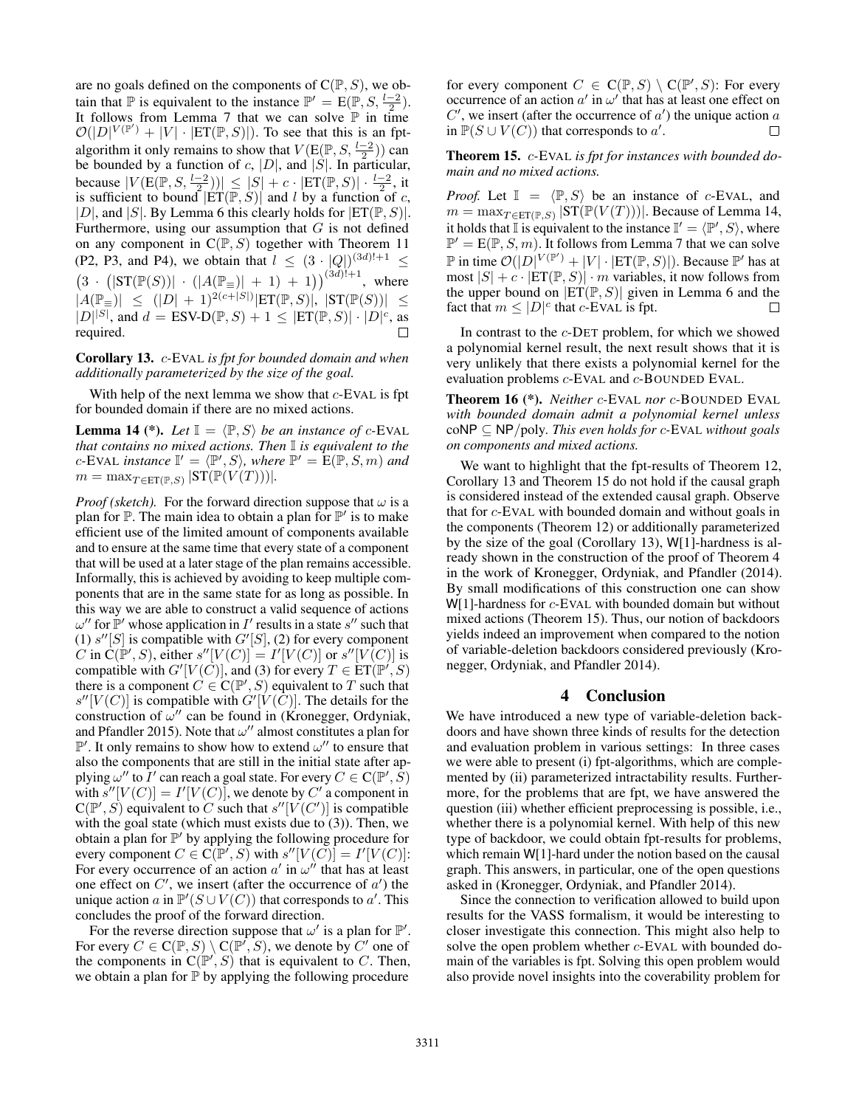are no goals defined on the components of  $C(\mathbb{P}, S)$ , we obtain that  $\mathbb P$  is equivalent to the instance  $\mathbb P' = \mathbb E(\mathbb P, S, \frac{l-2}{2})$ . It follows from Lemma 7 that we can solve  $\mathbb P$  in time  $\mathcal{O}(|D|^{V(\mathbb{P}')} + |V| \cdot |\mathbf{ET}(\mathbb{P}, S)|)$ . To see that this is an fptalgorithm it only remains to show that  $V(E(\mathbb{P}, S, \frac{l-2}{2}))$  can be bounded by a function of  $c$ ,  $|D|$ , and  $|S|$ . In particular, because  $|V(\mathbb{E}(\mathbb{P},S,\frac{l-2}{2}))| \leq |S| + c \cdot |\mathbb{E}(\mathbb{P},S)| \cdot \frac{l-2}{2}$ , it is sufficient to bound  $|\widetilde{\mathrm{ET}}(\mathbb{P},S)|$  and l by a function of c, |D|, and |S|. By Lemma 6 this clearly holds for  $|ET(\mathbb{P}, S)|$ . Furthermore, using our assumption that  $G$  is not defined on any component in  $C(\mathbb{P}, S)$  together with Theorem 11 (P2, P3, and P4), we obtain that  $l \leq (3 \cdot |Q|)^{(3d)!+1} \leq$  $(3 \cdot (ST(\mathbb{P}(S))) \cdot (|A(\mathbb{P}_{\equiv})| + 1) + 1))^{(3d)!+1}$ , where  $|A(\mathbb{P}_{\equiv})| \leq (|D| + 1)^{2(c+|S|)} |\text{ET}(\mathbb{P},S)|, |\text{ST}(\mathbb{P}(S))| \leq$  $|D|^{|S|}$ , and  $d = \text{ESV-D}(\mathbb{P},S) + 1 \leq |\text{ET}(\mathbb{P},S)| \cdot |D|^c$ , as required.  $\Box$ 

Corollary 13. c*-*EVAL *is fpt for bounded domain and when additionally parameterized by the size of the goal.*

With help of the next lemma we show that  $c$ -EVAL is fpt for bounded domain if there are no mixed actions.

**Lemma 14** (\*). Let  $\mathbb{I} = \langle \mathbb{P}, S \rangle$  *be an instance of c*-EVAL *that contains no mixed actions. Then* I *is equivalent to the* c-EVAL *instance*  $\mathbb{I}' = \langle \mathbb{P}', S \rangle$ , where  $\mathbb{P}' = E(\mathbb{P}, S, m)$  and  $m = \max_{T \in \text{ET}(\mathbb{P},S)} |\text{ST}(\mathbb{P}(V(T)))|.$ 

*Proof (sketch)*. For the forward direction suppose that  $\omega$  is a plan for  $\mathbb P$ . The main idea to obtain a plan for  $\mathbb P'$  is to make efficient use of the limited amount of components available and to ensure at the same time that every state of a component that will be used at a later stage of the plan remains accessible. Informally, this is achieved by avoiding to keep multiple components that are in the same state for as long as possible. In this way we are able to construct a valid sequence of actions  $\omega''$  for  $\mathbb{P}'$  whose application in  $I'$  results in a state s'' such that (1)  $s''[S]$  is compatible with  $G'[S], (2)$  for every component C in  $\dot{C}$ ( $\dot{P}'$ , S), either  $s''[V(C)] = I'[V(C)]$  or  $s''[V(C)]$  is compatible with  $G'[V(\dot{C})]$ , and (3) for every  $T \in \text{ET}(\mathbb{P}^1, S)$ there is a component  $C \in \mathbb{C}(\mathbb{P}', S)$  equivalent to T such that  $s''[V(C)]$  is compatible with  $G'[V(C)]$ . The details for the construction of  $\omega''$  can be found in (Kronegger, Ordyniak, and Pfandler 2015). Note that  $\omega''$  almost constitutes a plan for  $\mathbb{P}'$ . It only remains to show how to extend  $\omega''$  to ensure that also the components that are still in the initial state after applying  $\omega''$  to  $\overline{I}'$  can reach a goal state. For every  $C \in \mathrm{C}(\mathbb{P}',\dot{S})$ with  $s''[V(C)] = I'[V(C)]$ , we denote by C' a component in  $C(\mathbb{P}', S)$  equivalent to C such that  $s''[V(C')]$  is compatible with the goal state (which must exists due to (3)). Then, we obtain a plan for  $\mathbb{P}'$  by applying the following procedure for every component  $C \in \mathcal{C}(\mathbb{P}^7, S)$  with  $s''[V(C)] = I'[V(C)]$ : For every occurrence of an action  $a'$  in  $\omega''$  that has at least one effect on  $C'$ , we insert (after the occurrence of  $a'$ ) the unique action a in  $\mathbb{P}'(S \cup V(C))$  that corresponds to a'. This concludes the proof of the forward direction.

For the reverse direction suppose that  $\omega'$  is a plan for  $\mathbb{P}'$ . For every  $C \in \mathbb{C}(\mathbb{P}, S) \setminus \mathbb{C}(\mathbb{P}', S)$ , we denote by  $C'$  one of the components in  $C(\mathbb{P}', S)$  that is equivalent to C. Then, we obtain a plan for  $P$  by applying the following procedure for every component  $C \in \mathbb{C}(\mathbb{P}, S) \setminus \mathbb{C}(\mathbb{P}', S)$ : For every occurrence of an action  $a'$  in  $\omega'$  that has at least one effect on  $C'$ , we insert (after the occurrence of  $a'$ ) the unique action  $a$ in  $\mathbb{P}(S \cup V(\hat{C}))$  that corresponds to  $a'$ . П

### Theorem 15. c*-*EVAL *is fpt for instances with bounded domain and no mixed actions.*

*Proof.* Let  $\mathbb{I} = \langle \mathbb{P}, S \rangle$  be an instance of c-EVAL, and  $m = \max_{T \in \text{ET}(\mathbb{P},S)} |\text{ST}(\mathbb{P}(V(T)))|$ . Because of Lemma 14, it holds that  $\overline{\mathbb{I}}$  is equivalent to the instance  $\mathbb{I}' = \langle \mathbb{P}', S \rangle$ , where  $\mathbb{P}' = \mathbb{E}(\mathbb{P}, S, m)$ . It follows from Lemma 7 that we can solve  $\mathbb P$  in time  $\mathcal O(|D|^{V(\mathbb P')} + |V| \cdot |\text{ET}(\mathbb P, S)|)$ . Because  $\mathbb P'$  has at most  $|S| + c \cdot |\mathbf{ET}(\mathbb{P}, S)| \cdot m$  variables, it now follows from the upper bound on  $|ET(\mathbb{P}, S)|$  given in Lemma 6 and the fact that  $m \leq |D|^c$  that c-EVAL is fpt.  $\Box$ 

In contrast to the c-DET problem, for which we showed a polynomial kernel result, the next result shows that it is very unlikely that there exists a polynomial kernel for the evaluation problems c-EVAL and c-BOUNDED EVAL.

Theorem 16 (\*). *Neither* c*-*EVAL *nor* c*-*BOUNDED EVAL *with bounded domain admit a polynomial kernel unless* coNP ⊆ NP/poly*. This even holds for* c*-*EVAL *without goals on components and mixed actions.*

We want to highlight that the fpt-results of Theorem 12, Corollary 13 and Theorem 15 do not hold if the causal graph is considered instead of the extended causal graph. Observe that for c-EVAL with bounded domain and without goals in the components (Theorem 12) or additionally parameterized by the size of the goal (Corollary 13), W[1]-hardness is already shown in the construction of the proof of Theorem 4 in the work of Kronegger, Ordyniak, and Pfandler (2014). By small modifications of this construction one can show  $W[1]$ -hardness for  $c$ -EVAL with bounded domain but without mixed actions (Theorem 15). Thus, our notion of backdoors yields indeed an improvement when compared to the notion of variable-deletion backdoors considered previously (Kronegger, Ordyniak, and Pfandler 2014).

#### 4 Conclusion

We have introduced a new type of variable-deletion backdoors and have shown three kinds of results for the detection and evaluation problem in various settings: In three cases we were able to present (i) fpt-algorithms, which are complemented by (ii) parameterized intractability results. Furthermore, for the problems that are fpt, we have answered the question (iii) whether efficient preprocessing is possible, i.e., whether there is a polynomial kernel. With help of this new type of backdoor, we could obtain fpt-results for problems, which remain W[1]-hard under the notion based on the causal graph. This answers, in particular, one of the open questions asked in (Kronegger, Ordyniak, and Pfandler 2014).

Since the connection to verification allowed to build upon results for the VASS formalism, it would be interesting to closer investigate this connection. This might also help to solve the open problem whether c-EVAL with bounded domain of the variables is fpt. Solving this open problem would also provide novel insights into the coverability problem for